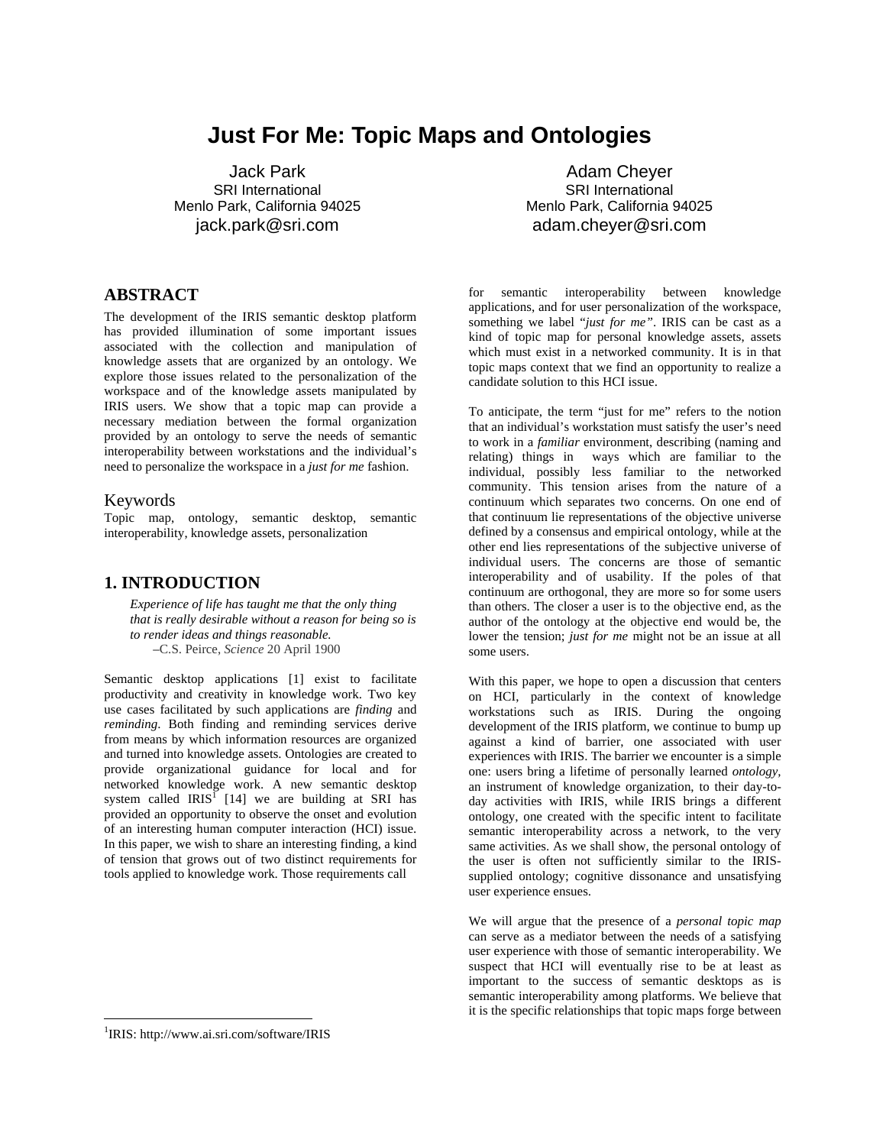# **Just For Me: Topic Maps and Ontologies**

Jack Park SRI International Menlo Park, California 94025 jack.park@sri.com

## **ABSTRACT**

The development of the IRIS semantic desktop platform has provided illumination of some important issues associated with the collection and manipulation of knowledge assets that are organized by an ontology. We explore those issues related to the personalization of the workspace and of the knowledge assets manipulated by IRIS users. We show that a topic map can provide a necessary mediation between the formal organization provided by an ontology to serve the needs of semantic interoperability between workstations and the individual's need to personalize the workspace in a *just for me* fashion.

#### Keywords

Topic map, ontology, semantic desktop, semantic interoperability, knowledge assets, personalization

#### **1. INTRODUCTION**

*Experience of life has taught me that the only thing that is really desirable without a reason for being so is to render ideas and things reasonable.*  –C.S. Peirce, *Science* 20 April 1900

Semantic desktop applications [1] exist to facilitate productivity and creativity in knowledge work. Two key use cases facilitated by such applications are *finding* and *reminding*. Both finding and reminding services derive from means by which information resources are organized and turned into knowledge assets. Ontologies are created to provide organizational guidance for local and for networked knowledge work. A new semantic desktop system called IRIS<sup>I</sup> [14] we are building at SRI has provided an opportunity to observe the onset and evolution of an interesting human computer interaction (HCI) issue. In this paper, we wish to share an interesting finding, a kind of tension that grows out of two distinct requirements for tools applied to knowledge work. Those requirements call

 $\overline{a}$ 

Adam Cheyer SRI International Menlo Park, California 94025 adam.cheyer@sri.com

for semantic interoperability between knowledge applications, and for user personalization of the workspace, something we label "*just for me"*. IRIS can be cast as a kind of topic map for personal knowledge assets, assets which must exist in a networked community. It is in that topic maps context that we find an opportunity to realize a candidate solution to this HCI issue.

To anticipate, the term "just for me" refers to the notion that an individual's workstation must satisfy the user's need to work in a *familiar* environment, describing (naming and relating) things in ways which are familiar to the individual, possibly less familiar to the networked community. This tension arises from the nature of a continuum which separates two concerns. On one end of that continuum lie representations of the objective universe defined by a consensus and empirical ontology, while at the other end lies representations of the subjective universe of individual users. The concerns are those of semantic interoperability and of usability. If the poles of that continuum are orthogonal, they are more so for some users than others. The closer a user is to the objective end, as the author of the ontology at the objective end would be, the lower the tension; *just for me* might not be an issue at all some users.

With this paper, we hope to open a discussion that centers on HCI, particularly in the context of knowledge workstations such as IRIS. During the ongoing development of the IRIS platform, we continue to bump up against a kind of barrier, one associated with user experiences with IRIS. The barrier we encounter is a simple one: users bring a lifetime of personally learned *ontology,*  an instrument of knowledge organization, to their day-today activities with IRIS, while IRIS brings a different ontology, one created with the specific intent to facilitate semantic interoperability across a network, to the very same activities. As we shall show, the personal ontology of the user is often not sufficiently similar to the IRISsupplied ontology; cognitive dissonance and unsatisfying user experience ensues.

We will argue that the presence of a *personal topic map* can serve as a mediator between the needs of a satisfying user experience with those of semantic interoperability. We suspect that HCI will eventually rise to be at least as important to the success of semantic desktops as is semantic interoperability among platforms. We believe that it is the specific relationships that topic maps forge between

<span id="page-0-0"></span><sup>1</sup> IRIS: http://www.ai.sri.com/software/IRIS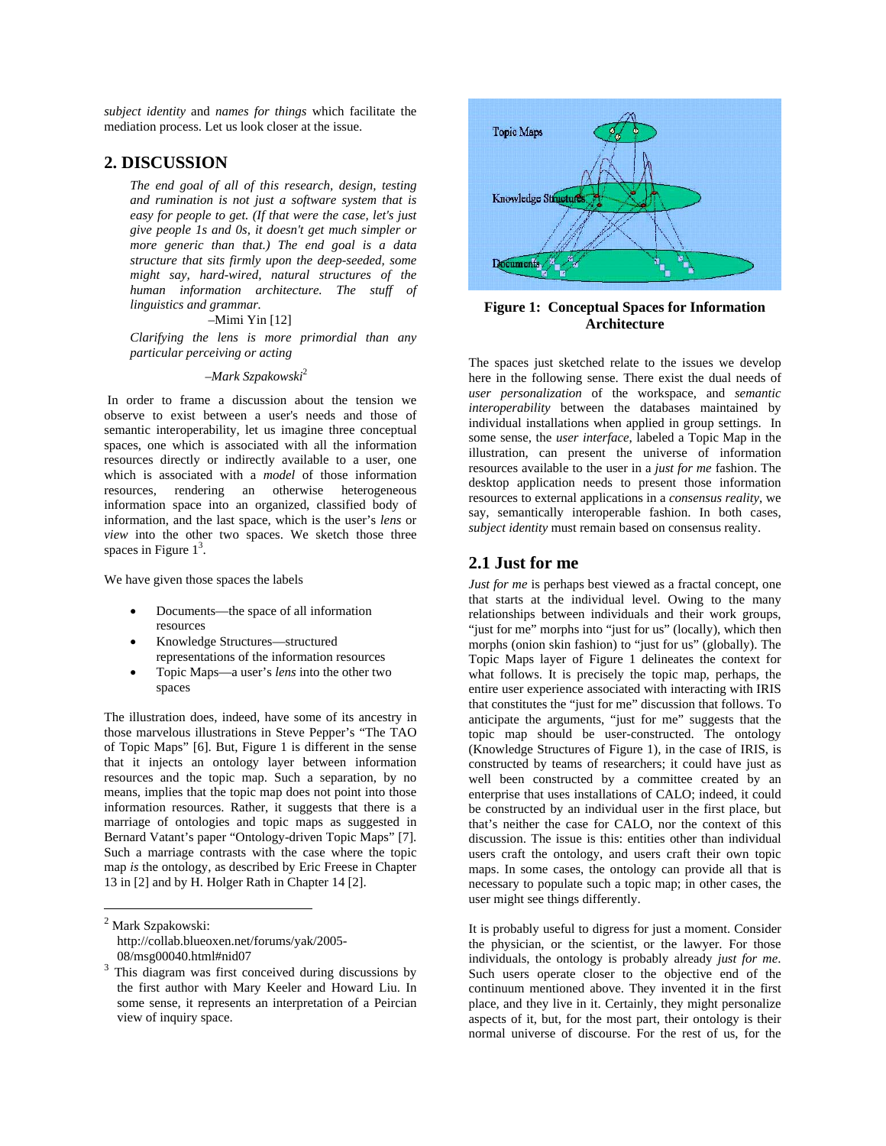*subject identity* and *names for things* which facilitate the mediation process. Let us look closer at the issue.

## **2. DISCUSSION**

*The end goal of all of this research, design, testing and rumination is not just a software system that is easy for people to get. (If that were the case, let's just give people 1s and 0s, it doesn't get much simpler or more generic than that.) The end goal is a data structure that sits firmly upon the deep-seeded, some might say, hard-wired, natural structures of the human information architecture. The stuff of linguistics and grammar.* 

#### –Mimi Yin [12]

*Clarifying the lens is more primordial than any particular perceiving or acting* 

#### –*Mark Szpakowski*[2](#page-1-0)

In order to frame a discussion about the tension we observe to exist between a user's needs and those of semantic interoperability, let us imagine three conceptual spaces, one which is associated with all the information resources directly or indirectly available to a user, one which is associated with a *model* of those information resources, rendering an otherwise heterogeneous information space into an organized, classified body of information, and the last space, which is the user's *lens* or *view* into the other two spaces. We sketch those three spaces in Figure  $1<sup>3</sup>$ .

We have given those spaces the labels

- Documents—the space of all information resources
- Knowledge Structures—structured representations of the information resources
- Topic Maps—a user's *lens* into the other two spaces

The illustration does, indeed, have some of its ancestry in those marvelous illustrations in Steve Pepper's "The TAO of Topic Maps" [6]. But, Figure 1 is different in the sense that it injects an ontology layer between information resources and the topic map. Such a separation, by no means, implies that the topic map does not point into those information resources. Rather, it suggests that there is a marriage of ontologies and topic maps as suggested in Bernard Vatant's paper "Ontology-driven Topic Maps" [7]. Such a marriage contrasts with the case where the topic map *is* the ontology, as described by Eric Freese in Chapter 13 in [2] and by H. Holger Rath in Chapter 14 [2].

 $\overline{a}$ 



**Figure 1: Conceptual Spaces for Information Architecture** 

The spaces just sketched relate to the issues we develop here in the following sense. There exist the dual needs of *user personalization* of the workspace, and *semantic interoperability* between the databases maintained by individual installations when applied in group settings. In some sense, the *user interface*, labeled a Topic Map in the illustration, can present the universe of information resources available to the user in a *just for me* fashion. The desktop application needs to present those information resources to external applications in a *consensus reality*, we say, semantically interoperable fashion. In both cases, *subject identity* must remain based on consensus reality.

#### **2.1 Just for me**

*Just for me* is perhaps best viewed as a fractal concept, one that starts at the individual level. Owing to the many relationships between individuals and their work groups, "just for me" morphs into "just for us" (locally), which then morphs (onion skin fashion) to "just for us" (globally). The Topic Maps layer of Figure 1 delineates the context for what follows. It is precisely the topic map, perhaps, the entire user experience associated with interacting with IRIS that constitutes the "just for me" discussion that follows. To anticipate the arguments, "just for me" suggests that the topic map should be user-constructed. The ontology (Knowledge Structures of Figure 1), in the case of IRIS, is constructed by teams of researchers; it could have just as well been constructed by a committee created by an enterprise that uses installations of CALO; indeed, it could be constructed by an individual user in the first place, but that's neither the case for CALO, nor the context of this discussion. The issue is this: entities other than individual users craft the ontology, and users craft their own topic maps. In some cases, the ontology can provide all that is necessary to populate such a topic map; in other cases, the user might see things differently.

normal universe of discourse. For the rest of us, for the It is probably useful to digress for just a moment. Consider the physician, or the scientist, or the lawyer. For those individuals, the ontology is probably already *just for me*. Such users operate closer to the objective end of the continuum mentioned above. They invented it in the first place, and they live in it. Certainly, they might personalize aspects of it, but, for the most part, their ontology is their

<span id="page-1-0"></span><sup>&</sup>lt;sup>2</sup> Mark Szpakowski:

http://collab.blueoxen.net/forums/yak/2005-

<span id="page-1-1"></span> $3$  This diagram was first conceived during discussions by the first author with Mary Keeler and Howard Liu. In some sense, it represents an interpretation of a Peircian view of inquiry space.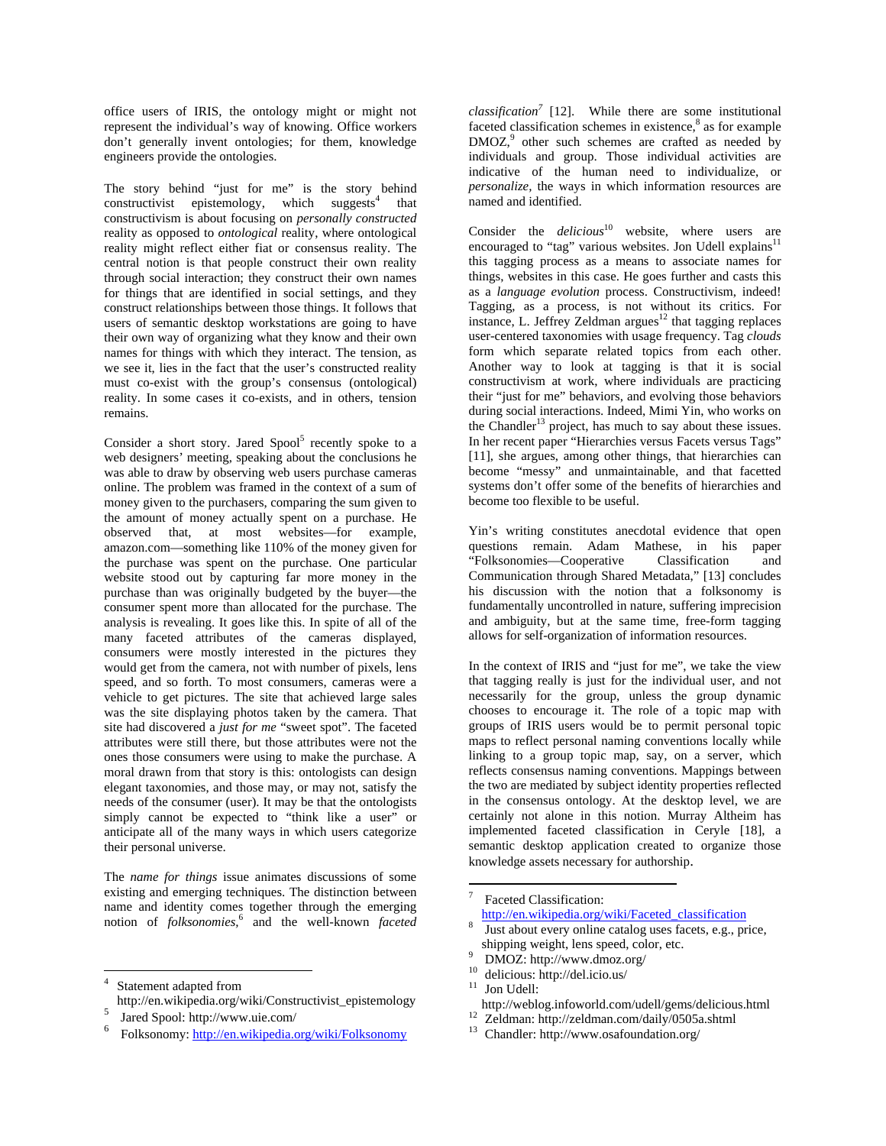office users of IRIS, the ontology might or might not represent the individual's way of knowing. Office workers don't generally invent ontologies; for them, knowledge engineers provide the ontologies.

The story behind "just for me" is the story behind  $constructivist$  epistemology, which suggests<sup>4</sup> that constructivism is about focusing on *personally constructed* reality as opposed to *ontological* reality, where ontological reality might reflect either fiat or consensus reality. The central notion is that people construct their own reality through social interaction; they construct their own names for things that are identified in social settings, and they construct relationships between those things. It follows that users of semantic desktop workstations are going to have their own way of organizing what they know and their own names for things with which they interact. The tension, as we see it, lies in the fact that the user's constructed reality must co-exist with the group's consensus (ontological) reality. In some cases it co-exists, and in others, tension remains.

Considera short story. Jared  $Spool<sup>5</sup>$  recently spoke to a web designers' meeting, speaking about the conclusions he was able to draw by observing web users purchase cameras online. The problem was framed in the context of a sum of money given to the purchasers, comparing the sum given to the amount of money actually spent on a purchase. He observed that, at most websites—for example, amazon.com—something like 110% of the money given for the purchase was spent on the purchase. One particular website stood out by capturing far more money in the purchase than was originally budgeted by the buyer—the consumer spent more than allocated for the purchase. The analysis is revealing. It goes like this. In spite of all of the many faceted attributes of the cameras displayed, consumers were mostly interested in the pictures they would get from the camera, not with number of pixels, lens speed, and so forth. To most consumers, cameras were a vehicle to get pictures. The site that achieved large sales was the site displaying photos taken by the camera. That site had discovered a *just for me* "sweet spot". The faceted attributes were still there, but those attributes were not the ones those consumers were using to make the purchase. A moral drawn from that story is this: ontologists can design elegant taxonomies, and those may, or may not, satisfy the needs of the consumer (user). It may be that the ontologists simply cannot be expected to "think like a user" or anticipate all of the many ways in which users categorize their personal universe.

The *name for things* issue animates discussions of some existing and emerging techniques. The distinction between name and identity comes together through the emerging notion of *folksonomies,*[6](#page-2-2) and the well-known *faceted* 

<span id="page-2-0"></span>4 Statement adapted from

 $\overline{a}$ 

*classificatio[n7](#page-2-3)* [12]. While there are some institutional faceted classification schemes in existence, $8$  as for example  $DMOZ$ , other such schemes are crafted as needed by individuals and group. Those individual activities are indicative of the human need to individualize, or *personalize,* the ways in which information resources are named and identified.

Consider the *delicious*<sup>10</sup> website, where users are encouraged to "tag" various websites. Jon Udell explains $11$ this tagging process as a means to associate names for things, websites in this case. He goes further and casts this as a *language evolution* process. Constructivism, indeed! Tagging, as a process, is not without its critics. For instance, L. Jeffrey Zeldman argues<sup>12</sup> that tagging replaces user-centered taxonomies with usage frequency. Tag *clouds* form which separate related topics from each other. Another way to look at tagging is that it is social constructivism at work, where individuals are practicing their "just for me" behaviors, and evolving those behaviors during social interactions. Indeed, Mimi Yin, who works on the Chandler<sup>13</sup> project, has much to say about these issues. In her recent paper "Hierarchies versus Facets versus Tags" [11], she argues, among other things, that hierarchies can become "messy" and unmaintainable, and that facetted systems don't offer some of the benefits of hierarchies and become too flexible to be useful.

Yin's writing constitutes anecdotal evidence that open questions remain. Adam Mathese, in his paper "Folksonomies—Cooperative Classification and Communication through Shared Metadata," [13] concludes his discussion with the notion that a folksonomy is fundamentally uncontrolled in nature, suffering imprecision and ambiguity, but at the same time, free-form tagging allows for self-organization of information resources.

In the context of IRIS and "just for me", we take the view that tagging really is just for the individual user, and not necessarily for the group, unless the group dynamic chooses to encourage it. The role of a topic map with groups of IRIS users would be to permit personal topic maps to reflect personal naming conventions locally while linking to a group topic map, say, on a server, which reflects consensus naming conventions. Mappings between the two are mediated by subject identity properties reflected in the consensus ontology. At the desktop level, we are certainly not alone in this notion. Murray Altheim has implemented faceted classification in Ceryle [18], a semantic desktop application created to organize those knowledge assets necessary for authorship.

- shipping weight, lens speed, color, etc. 9
- <span id="page-2-5"></span>DMOZ: http://www.dmoz.org/
- <span id="page-2-6"></span> $^{10}$  delicious: http://del.icio.us/
- 

 $\overline{a}$ 

- <span id="page-2-7"></span>Jon Udell:<br>http://weblog.infoworld.com/udell/gems/delicious.html
- <span id="page-2-8"></span><sup>12</sup> Zeldman: http://zeldman.com/daily/0505a.shtml  $^{12}$  Chandler: http://www.osafoundation.org/
- <span id="page-2-9"></span>

http://en.wikipedia.org/wiki/Constructivist\_epistemology 5

<span id="page-2-1"></span><sup>&</sup>lt;sup>5</sup> Jared Spool: http://www.uie.com/

<span id="page-2-2"></span>Folksonomy:<http://en.wikipedia.org/wiki/Folksonomy>

<span id="page-2-3"></span><sup>7</sup> Faceted Classification:

<span id="page-2-4"></span>[http://en.wikipedia.org/wiki/Faceted\\_classification](http://en.wikipedia.org/wiki/Faceted_classification) <sup>8</sup> Just about every online catalog uses facets, e.g., price,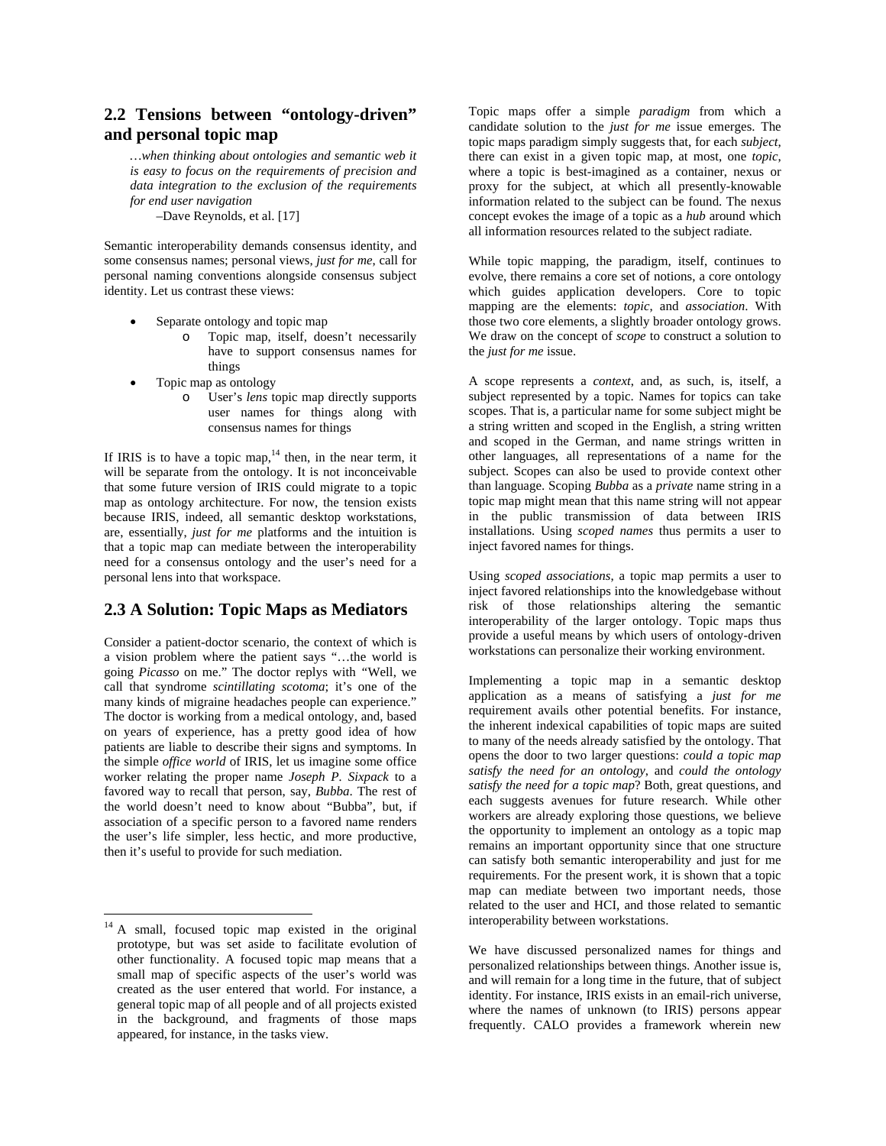## **2.2 Tensions between "ontology-driven" and personal topic map**

*…when thinking about ontologies and semantic web it is easy to focus on the requirements of precision and data integration to the exclusion of the requirements for end user navigation*  –Dave Reynolds, et al. [17]

Semantic interoperability demands consensus identity, and some consensus names; personal views, *just for me*, call for personal naming conventions alongside consensus subject

- Separate ontology and topic map
	- o Topic map, itself, doesn't necessarily have to support consensus names for things
- Topic map as ontology

identity. Let us contrast these views:

o User's *lens* topic map directly supports user names for things along with consensus names for things

If IRIS is to have a topic map,  $14$  then, in the near term, it will be separate from the ontology. It is not inconceivable that some future version of IRIS could migrate to a topic map as ontology architecture. For now, the tension exists because IRIS, indeed, all semantic desktop workstations, are, essentially, *just for me* platforms and the intuition is that a topic map can mediate between the interoperability need for a consensus ontology and the user's need for a personal lens into that workspace.

## **2.3 A Solution: Topic Maps as Mediators**

Consider a patient-doctor scenario, the context of which is a vision problem where the patient says "…the world is going *Picasso* on me." The doctor replys with *"*Well, we call that syndrome *scintillating scotoma*; it's one of the many kinds of migraine headaches people can experience." The doctor is working from a medical ontology, and, based on years of experience, has a pretty good idea of how patients are liable to describe their signs and symptoms. In the simple *office world* of IRIS, let us imagine some office worker relating the proper name *Joseph P. Sixpack* to a favored way to recall that person, say, *Bubba*. The rest of the world doesn't need to know about "Bubba", but, if association of a specific person to a favored name renders the user's life simpler, less hectic, and more productive, then it's useful to provide for such mediation.

 $\overline{a}$ 

Topic maps offer a simple *paradigm* from which a candidate solution to the *just for me* issue emerges. The topic maps paradigm simply suggests that, for each *subject*, there can exist in a given topic map, at most, one *topic*, where a topic is best-imagined as a container, nexus or proxy for the subject, at which all presently-knowable information related to the subject can be found. The nexus concept evokes the image of a topic as a *hub* around which all information resources related to the subject radiate.

While topic mapping, the paradigm, itself, continues to evolve, there remains a core set of notions, a core ontology which guides application developers. Core to topic mapping are the elements: *topic*, and *association*. With those two core elements, a slightly broader ontology grows. We draw on the concept of *scope* to construct a solution to the *just for me* issue.

A scope represents a *context*, and, as such, is, itself, a subject represented by a topic. Names for topics can take scopes. That is, a particular name for some subject might be a string written and scoped in the English, a string written and scoped in the German, and name strings written in other languages, all representations of a name for the subject. Scopes can also be used to provide context other than language. Scoping *Bubba* as a *private* name string in a topic map might mean that this name string will not appear in the public transmission of data between IRIS installations. Using *scoped names* thus permits a user to inject favored names for things.

Using *scoped associations*, a topic map permits a user to inject favored relationships into the knowledgebase without risk of those relationships altering the semantic interoperability of the larger ontology. Topic maps thus provide a useful means by which users of ontology-driven workstations can personalize their working environment.

Implementing a topic map in a semantic desktop application as a means of satisfying a *just for me* requirement avails other potential benefits. For instance, the inherent indexical capabilities of topic maps are suited to many of the needs already satisfied by the ontology. That opens the door to two larger questions: *could a topic map satisfy the need for an ontology*, and *could the ontology satisfy the need for a topic map*? Both, great questions, and each suggests avenues for future research. While other workers are already exploring those questions, we believe the opportunity to implement an ontology as a topic map remains an important opportunity since that one structure can satisfy both semantic interoperability and just for me requirements. For the present work, it is shown that a topic map can mediate between two important needs, those related to the user and HCI, and those related to semantic interoperability between workstations.

We have discussed personalized names for things and personalized relationships between things. Another issue is, and will remain for a long time in the future, that of subject identity. For instance, IRIS exists in an email-rich universe, where the names of unknown (to IRIS) persons appear frequently. CALO provides a framework wherein new

<span id="page-3-0"></span> $14$  A small, focused topic map existed in the original prototype, but was set aside to facilitate evolution of other functionality. A focused topic map means that a small map of specific aspects of the user's world was created as the user entered that world. For instance, a general topic map of all people and of all projects existed in the background, and fragments of those maps appeared, for instance, in the tasks view.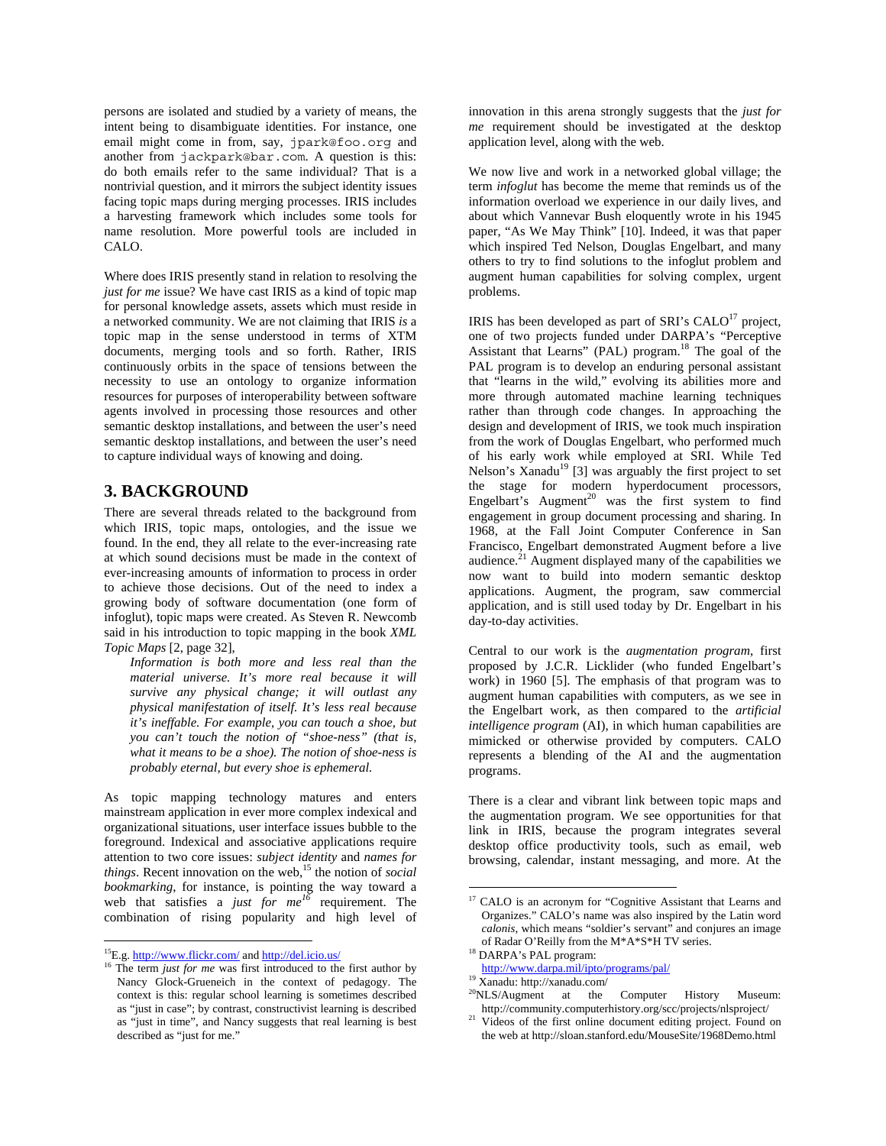persons are isolated and studied by a variety of means, the intent being to disambiguate identities. For instance, one email might come in from, say, jpark@foo.org and another from jackpark@bar.com. A question is this: do both emails refer to the same individual? That is a nontrivial question, and it mirrors the subject identity issues facing topic maps during merging processes. IRIS includes a harvesting framework which includes some tools for name resolution. More powerful tools are included in CALO.

Where does IRIS presently stand in relation to resolving the *just for me* issue? We have cast IRIS as a kind of topic map for personal knowledge assets, assets which must reside in a networked community. We are not claiming that IRIS *is* a topic map in the sense understood in terms of XTM documents, merging tools and so forth. Rather, IRIS continuously orbits in the space of tensions between the necessity to use an ontology to organize information resources for purposes of interoperability between software agents involved in processing those resources and other semantic desktop installations, and between the user's need semantic desktop installations, and between the user's need to capture individual ways of knowing and doing.

## **3. BACKGROUND**

There are several threads related to the background from which IRIS, topic maps, ontologies, and the issue we found. In the end, they all relate to the ever-increasing rate at which sound decisions must be made in the context of ever-increasing amounts of information to process in order to achieve those decisions. Out of the need to index a growing body of software documentation (one form of infoglut), topic maps were created. As Steven R. Newcomb said in his introduction to topic mapping in the book *XML Topic Maps* [2, page 32],

*Information is both more and less real than the material universe. It's more real because it will survive any physical change; it will outlast any physical manifestation of itself. It's less real because it's ineffable. For example, you can touch a shoe, but you can't touch the notion of "shoe-ness" (that is, what it means to be a shoe). The notion of shoe-ness is probably eternal, but every shoe is ephemeral.* 

As topic mapping technology matures and enters mainstream application in ever more complex indexical and organizational situations, user interface issues bubble to the foreground. Indexical and associative applications require attention to two core issues: *subject identity* and *names for things*. Recent innovation on the web,<sup>15</sup> the notion of *social bookmarking*, for instance, is pointing the way toward a web that satisfies a *just for me[16](#page-4-1)* requirement. The combination of rising popularity and high level of innovation in this arena strongly suggests that the *just for me* requirement should be investigated at the desktop application level, along with the web.

We now live and work in a networked global village; the term *infoglut* has become the meme that reminds us of the information overload we experience in our daily lives, and about which Vannevar Bush eloquently wrote in his 1945 paper, "As We May Think" [10]. Indeed, it was that paper which inspired Ted Nelson, Douglas Engelbart, and many others to try to find solutions to the infoglut problem and augment human capabilities for solving complex, urgent problems.

IRIS has been developed as part of SRI's  $CALO<sup>17</sup>$  project, one of two projects funded under DARPA's "Perceptive Assistant that Learns" (PAL) program.<sup>18</sup> The goal of the PAL program is to develop an enduring personal assistant that "learns in the wild," evolving its abilities more and more through automated machine learning techniques rather than through code changes. In approaching the design and development of IRIS, we took much inspiration from the work of Douglas Engelbart, who performed much of his early work while employed at SRI. While Ted Nelson's Xanadu<sup>19</sup> [3] was arguably the first project to set the stage for modern hyperdocument processors, Engelbart's Augment<sup>20</sup> was the first system to find engagement in group document processing and sharing. In 1968, at the Fall Joint Computer Conference in San Francisco, Engelbart demonstrated Augment before a live audience. $^{21}$  Augment displayed many of the capabilities we now want to build into modern semantic desktop applications. Augment, the program, saw commercial application, and is still used today by Dr. Engelbart in his day-to-day activities.

Central to our work is the *augmentation program*, first proposed by J.C.R. Licklider (who funded Engelbart's work) in 1960 [5]. The emphasis of that program was to augment human capabilities with computers, as we see in the Engelbart work, as then compared to the *artificial intelligence program* (AI), in which human capabilities are mimicked or otherwise provided by computers. CALO represents a blending of the AI and the augmentation programs.

There is a clear and vibrant link between topic maps and the augmentation program. We see opportunities for that link in IRIS, because the program integrates several desktop office productivity tools, such as email, web browsing, calendar, instant messaging, and more. At the

 $\overline{a}$ 

<span id="page-4-0"></span><sup>&</sup>lt;sup>15</sup>E.g. http://www.flickr.com/ and http://del.icio.us/

<span id="page-4-1"></span><sup>&</sup>lt;sup>16</sup> The term *just for me* was first introduced to the first author by Nancy Glock-Grueneich in the context of pedagogy. The context is this: regular school learning is sometimes described as "just in case"; by contrast, constructivist learning is described as "just in time", and Nancy suggests that real learning is best described as "just for me."

<span id="page-4-2"></span><sup>&</sup>lt;sup>17</sup> CALO is an acronym for "Cognitive Assistant that Learns and Organizes." CALO's name was also inspired by the Latin word *calonis*, which means "soldier's servant" and conjures an image of Radar O'Reilly from the M\*A\*S\*H TV series.<br><sup>18</sup> DARPA's PAL program:

<span id="page-4-3"></span>

<http://www.darpa.mil/ipto/programs/pal/> 19 [Xanadu: http://xanadu.com/](http://www.darpa.mil/ipto/programs/pal/) 

<span id="page-4-4"></span>

<span id="page-4-5"></span><sup>&</sup>lt;sup>20</sup>NLS/Augment at the Computer History Museum:

<span id="page-4-6"></span>http://community.computerhistory.org/scc/projects/nlsproject/ 21 Videos of the first online document editing project. Found on the web at http://sloan.stanford.edu/MouseSite/1968Demo.html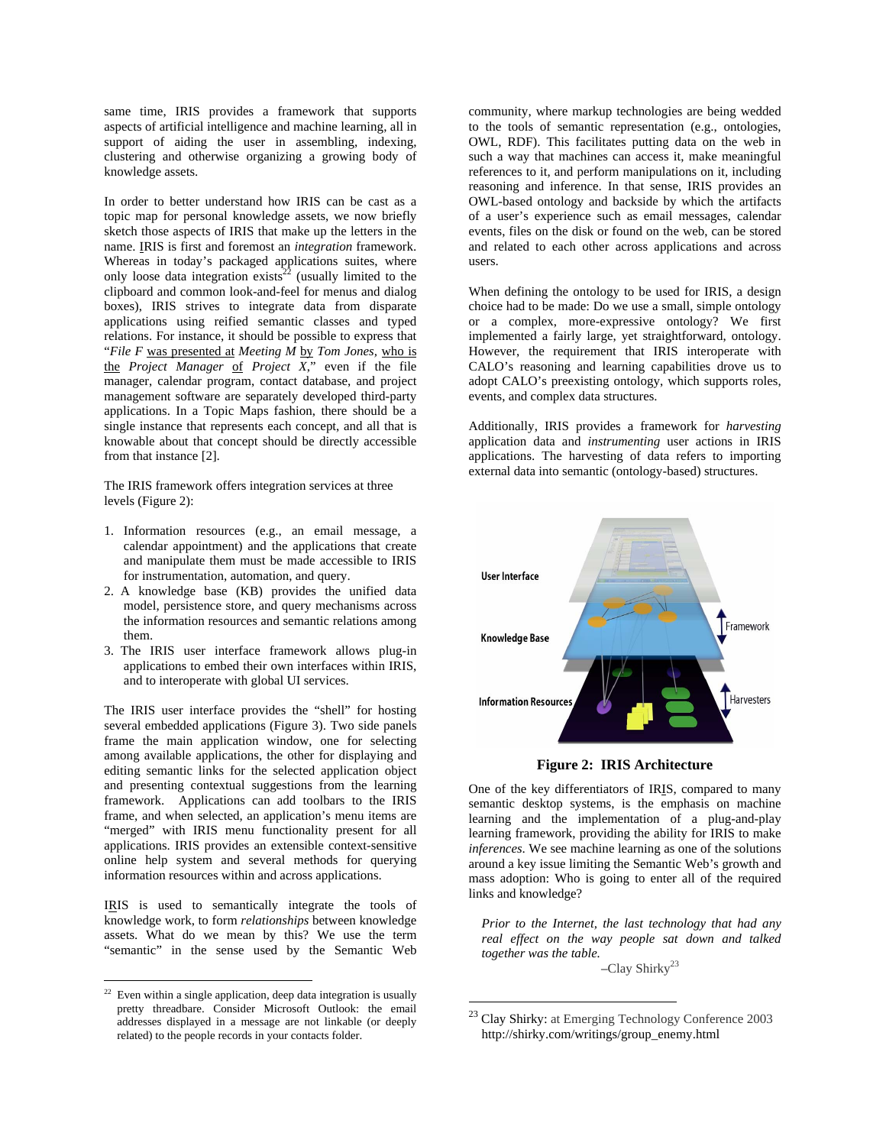same time, IRIS provides a framework that supports aspects of artificial intelligence and machine learning, all in support of aiding the user in assembling, indexing, clustering and otherwise organizing a growing body of knowledge assets.

In order to better understand how IRIS can be cast as a topic map for personal knowledge assets, we now briefly sketch those aspects of IRIS that make up the letters in the name. IRIS is first and foremost an *integration* framework. Whereas in today's packaged applications suites, where only loose data integration exists<sup>22</sup> (usually limited to the clipboard and common look-and-feel for menus and dialog boxes), IRIS strives to integrate data from disparate applications using reified semantic classes and typed relations. For instance, it should be possible to express that "*File F* was presented at *Meeting M* by *Tom Jones,* who is the *Project Manager* of *Project X*," even if the file manager, calendar program, contact database, and project management software are separately developed third-party applications. In a Topic Maps fashion, there should be a single instance that represents each concept, and all that is knowable about that concept should be directly accessible from that instance [2].

The IRIS framework offers integration services at three levels (Figure 2):

- 1. Information resources (e.g., an email message, a calendar appointment) and the applications that create and manipulate them must be made accessible to IRIS for instrumentation, automation, and query.
- 2. A knowledge base (KB) provides the unified data model, persistence store, and query mechanisms across the information resources and semantic relations among them.
- 3. The IRIS user interface framework allows plug-in applications to embed their own interfaces within IRIS, and to interoperate with global UI services.

The IRIS user interface provides the "shell" for hosting several embedded applications (Figure 3). Two side panels frame the main application window, one for selecting among available applications, the other for displaying and editing semantic links for the selected application object and presenting contextual suggestions from the learning framework. Applications can add toolbars to the IRIS frame, and when selected, an application's menu items are "merged" with IRIS menu functionality present for all applications. IRIS provides an extensible context-sensitive online help system and several methods for querying information resources within and across applications.

IRIS is used to semantically integrate the tools of knowledge work, to form *relationships* between knowledge assets. What do we mean by this? We use the term "semantic" in the sense used by the Semantic Web

 $\overline{a}$ 

community, where markup technologies are being wedded to the tools of semantic representation (e.g., ontologies, OWL, RDF). This facilitates putting data on the web in such a way that machines can access it, make meaningful references to it, and perform manipulations on it, including reasoning and inference. In that sense, IRIS provides an OWL-based ontology and backside by which the artifacts of a user's experience such as email messages, calendar events, files on the disk or found on the web, can be stored and related to each other across applications and across users.

When defining the ontology to be used for IRIS, a design choice had to be made: Do we use a small, simple ontology or a complex, more-expressive ontology? We first implemented a fairly large, yet straightforward, ontology. However, the requirement that IRIS interoperate with CALO's reasoning and learning capabilities drove us to adopt CALO's preexisting ontology, which supports roles, events, and complex data structures.

Additionally, IRIS provides a framework for *harvesting* application data and *instrumenting* user actions in IRIS applications. The harvesting of data refers to importing external data into semantic (ontology-based) structures.



**Figure 2: IRIS Architecture** 

One of the key differentiators of IRIS, compared to many semantic desktop systems, is the emphasis on machine learning and the implementation of a plug-and-play learning framework, providing the ability for IRIS to make *inferences*. We see machine learning as one of the solutions around a key issue limiting the Semantic Web's growth and mass adoption: Who is going to enter all of the required links and knowledge?

*Prior to the Internet, the last technology that had any real effect on the way people sat down and talked together was the table.*   $-C$ lay Shirky<sup>23</sup>

 $\overline{a}$ 

<span id="page-5-0"></span> $22$  Even within a single application, deep data integration is usually pretty threadbare. Consider Microsoft Outlook: the email addresses displayed in a message are not linkable (or deeply related) to the people records in your contacts folder.

<span id="page-5-1"></span><sup>&</sup>lt;sup>23</sup> Clay Shirky: at Emerging Technology Conference 2003 http://shirky.com/writings/group\_enemy.html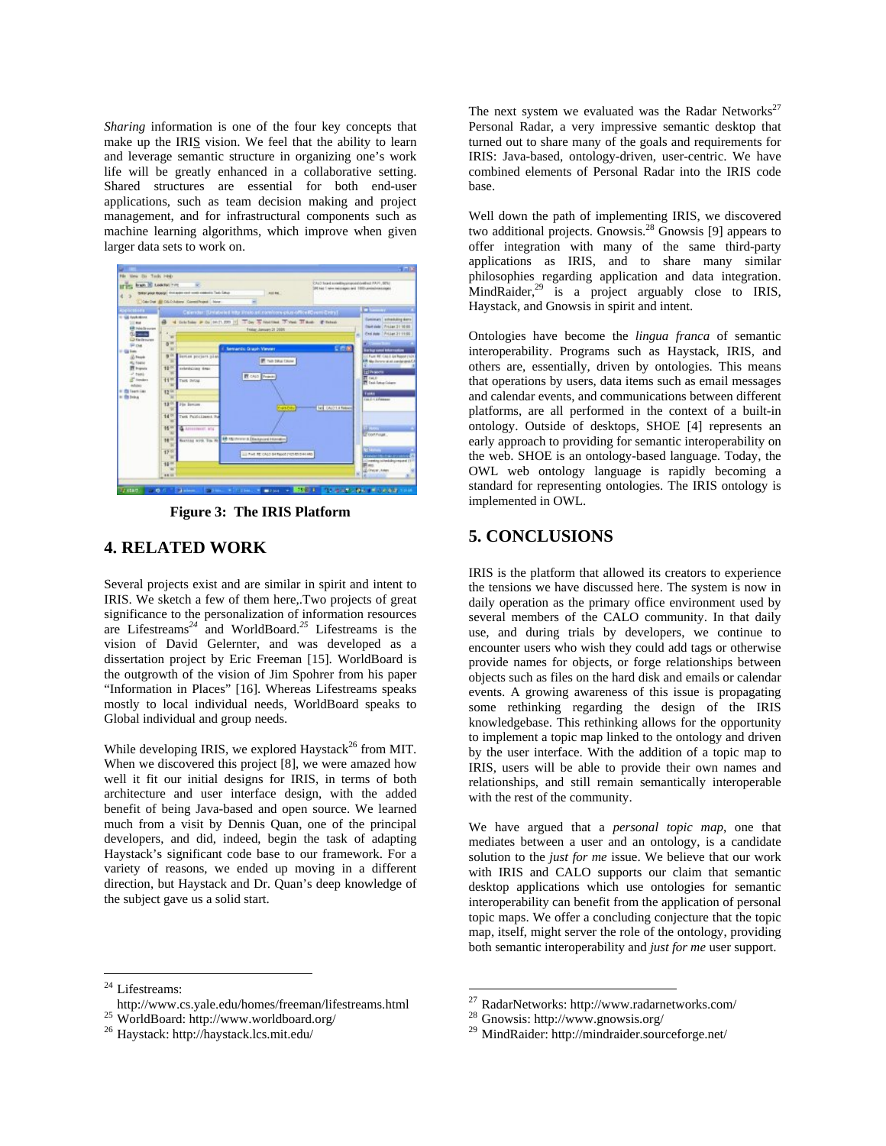*Sharing* information is one of the four key concepts that make up the IRIS vision. We feel that the ability to learn and leverage semantic structure in organizing one's work life will be greatly enhanced in a collaborative setting. Shared structures are essential for both end-user applications, such as team decision making and project management, and for infrastructural components such as machine learning algorithms, which improve when given larger data sets to work on.



**Figure 3: The IRIS Platform**

## **4. RELATED WORK**

Several projects exist and are similar in spirit and intent to IRIS. We sketch a few of them here,.Two projects of great significance to the personalization of information resources are Lifestreams *[24](#page-6-0)* and WorldBoard.*[25](#page-6-1)* Lifestreams is the vision of David Gelernter, and was developed as a dissertation project by Eric Freeman [15]. WorldBoard is the outgrowth of the vision of Jim Spohrer from his paper "Information in Places" [16]. Whereas Lifestreams speaks mostly to local individual needs, WorldBoard speaks to Global individual and group needs.

While developing IRIS, we explored Haystack<sup>26</sup> from MIT. When we discovered this project [8], we were amazed how well it fit our initial designs for IRIS, in terms of both architecture and user interface design, with the added benefit of being Java-based and open source. We learned much from a visit by Dennis Quan, one of the principal developers, and did, indeed, begin the task of adapting Haystack's significant code base to our framework. For a variety of reasons, we ended up moving in a different direction, but Haystack and Dr. Quan's deep knowledge of the subject gave us a solid start.

The next system we evaluated was the Radar Networks<sup>[27](#page-6-3)</sup> Personal Radar, a very impressive semantic desktop that turned out to share many of the goals and requirements for IRIS: Java-based, ontology-driven, user-centric. We have combined elements of Personal Radar into the IRIS code base.

Well down the path of implementing IRIS, we discovered two additional projects. Gnowsis[.28](#page-6-4) Gnowsis [9] appears to offer integration with many of the same third-party applications as IRIS, and to share many similar philosophies regarding application and data integration. MindRaider, $^{29}$  is a project arguably close to IRIS, Haystack, and Gnowsis in spirit and intent.

Ontologies have become the *lingua franca* of semantic interoperability. Programs such as Haystack, IRIS, and others are, essentially, driven by ontologies. This means that operations by users, data items such as email messages and calendar events, and communications between different platforms, are all performed in the context of a built-in ontology. Outside of desktops, SHOE [4] represents an early approach to providing for semantic interoperability on the web. SHOE is an ontology-based language. Today, the OWL web ontology language is rapidly becoming a standard for representing ontologies. The IRIS ontology is implemented in OWL.

## **5. CONCLUSIONS**

IRIS is the platform that allowed its creators to experience the tensions we have discussed here. The system is now in daily operation as the primary office environment used by several members of the CALO community. In that daily use, and during trials by developers, we continue to encounter users who wish they could add tags or otherwise provide names for objects, or forge relationships between objects such as files on the hard disk and emails or calendar events. A growing awareness of this issue is propagating some rethinking regarding the design of the IRIS knowledgebase. This rethinking allows for the opportunity to implement a topic map linked to the ontology and driven by the user interface. With the addition of a topic map to IRIS, users will be able to provide their own names and relationships, and still remain semantically interoperable with the rest of the community.

We have argued that a *personal topic map*, one that mediates between a user and an ontology, is a candidate solution to the *just for me* issue. We believe that our work with IRIS and CALO supports our claim that semantic desktop applications which use ontologies for semantic interoperability can benefit from the application of personal topic maps. We offer a concluding conjecture that the topic map, itself, might server the role of the ontology, providing both semantic interoperability and *just for me* user support.

<span id="page-6-0"></span><sup>&</sup>lt;sup>24</sup> Lifestreams:<br>http://www.cs.yale.edu/homes/freeman/lifestreams.html

<span id="page-6-1"></span><sup>&</sup>lt;sup>25</sup> WorldBoard: http://www.worldboard.org/<br><sup>26</sup> Haystack: http://haystack.lcs.mit.edu/

<span id="page-6-2"></span>

<span id="page-6-3"></span><sup>&</sup>lt;sup>27</sup> RadarNetworks: http://www.radarnetworks.com/<br><sup>28</sup> Gnowsis: http://www.gnowsis.org/<br><sup>29</sup> MindRaider: http://mindraider.sourceforge.net/

<span id="page-6-4"></span>

<span id="page-6-5"></span>